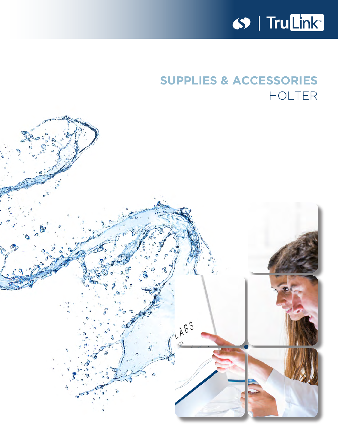

# **SUPPLIES & ACCESSORIES** HOLTER

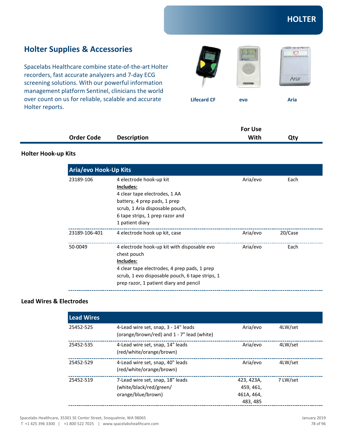### **Holter Supplies & Accessories**

Spacelabs Healthcare combine state-of-the-art Holter recorders, fast accurate analyzers and 7-day ECG screening solutions. With our powerful information management platform Sentinel, clinicians the world over count on us for reliable, scalable and accurate Holter reports.







**Lifecard CF** evo Aria

|                   |                    | <b>For Use</b> |     |
|-------------------|--------------------|----------------|-----|
| <b>Order Code</b> | <b>Description</b> | With           | Qty |

#### **Holter Hook-up Kits**

| <b>Aria/evo Hook-Up Kits</b> |                                                 |          |         |  |  |
|------------------------------|-------------------------------------------------|----------|---------|--|--|
| 23189-106                    | 4 electrode hook-up kit                         | Aria/evo | Each    |  |  |
|                              | Includes:                                       |          |         |  |  |
|                              | 4 clear tape electrodes, 1 AA                   |          |         |  |  |
|                              | battery, 4 prep pads, 1 prep                    |          |         |  |  |
|                              | scrub, 1 Aria disposable pouch,                 |          |         |  |  |
|                              | 6 tape strips, 1 prep razor and                 |          |         |  |  |
|                              | 1 patient diary                                 |          |         |  |  |
| 23189-106-401                | 4 electrode hook up kit, case                   | Aria/evo | 20/Case |  |  |
| 50-0049                      | 4 electrode hook-up kit with disposable evo     | Aria/evo | Each    |  |  |
|                              | chest pouch                                     |          |         |  |  |
|                              | Includes:                                       |          |         |  |  |
|                              | 4 clear tape electrodes, 4 prep pads, 1 prep    |          |         |  |  |
|                              | scrub, 1 evo disposable pouch, 6 tape strips, 1 |          |         |  |  |
|                              | prep razor, 1 patient diary and pencil          |          |         |  |  |

### **Lead Wires & Electrodes**

| <b>Lead Wires</b> |                                                                                    |                                                   |          |
|-------------------|------------------------------------------------------------------------------------|---------------------------------------------------|----------|
| 25452-525         | 4-Lead wire set, snap, 3 - 14" leads<br>(orange/brown/red) and 1 - 7" lead (white) | Aria/evo                                          | 4LW/set  |
| 25452-535         | 4-Lead wire set, snap, 14" leads<br>(red/white/orange/brown)                       | Aria/evo                                          | 4LW/set  |
| 25452-529         | 4-Lead wire set, snap, 40" leads<br>(red/white/orange/brown)                       | Aria/evo                                          | 4LW/set  |
| 25452-519         | 7-Lead wire set, snap, 18" leads<br>(white/black/red/green/<br>orange/blue/brown)  | 423, 423A,<br>459, 461,<br>461A, 464,<br>483, 485 | 7 LW/set |

Spacelabs Healthcare, 35301 SE Center Street, Snoqualmie, WA 98065

T +1 425 396 3300 | +1 800 522 7025 | www.spacelabshealthcare.com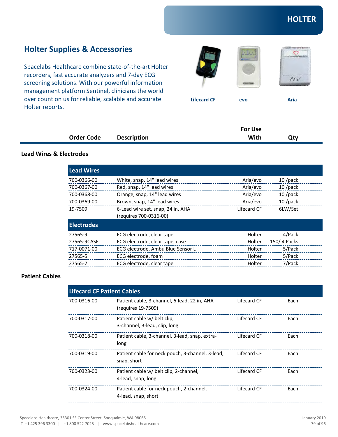### **Holter Supplies & Accessories**

Spacelabs Healthcare combine state-of-the-art Holter recorders, fast accurate analyzers and 7-day ECG screening solutions. With our powerful information management platform Sentinel, clinicians the world over count on us for reliable, scalable and accurate Holter reports.







**Lifecard CF** evo Aria

|                   |                    | For Use |     |  |
|-------------------|--------------------|---------|-----|--|
| <b>Order Code</b> | <b>Description</b> | With    | Qty |  |

### **Lead Wires & Electrodes**

| <b>Lead Wires</b> |                                   |             |             |
|-------------------|-----------------------------------|-------------|-------------|
| 700-0366-00       | White, snap, 14" lead wires       | Aria/evo    | $10$ /pack  |
| 700-0367-00       | Red, snap, 14" lead wires         | Aria/evo    | $10$ /pack  |
| 700-0368-00       | Orange, snap, 14" lead wires      | Aria/evo    | $10$ /pack  |
| 700-0369-00       | Brown, snap, 14" lead wires       | Aria/evo    | $10$ /pack  |
| 19-7509           | 6-Lead wire set, snap, 24 in, AHA | Lifecard CF | 6LW/Set     |
|                   | (requires 700-0316-00)            |             |             |
| <b>Electrodes</b> |                                   |             |             |
| 27565-9           | ECG electrode, clear tape         | Holter      | 4/Pack      |
| 27565-9CASE       | ECG electrode, clear tape, case   | Holter      | 150/4 Packs |
| 717-0071-00       | ECG electrode, Ambu Blue Sensor L | Holter      | 5/Pack      |
| 27565-5           | ECG electrode, foam               | Holter      | 5/Pack      |
| 27565-7           | ECG electrode, clear tape         | Holter      | 7/Pack      |

#### **Patient Cables**

| <b>Lifecard CF Patient Cables</b> |                                                                    |             |      |  |
|-----------------------------------|--------------------------------------------------------------------|-------------|------|--|
| 700-0316-00                       | Patient cable, 3-channel, 6-lead, 22 in, AHA<br>(reguires 19-7509) | Lifecard CF | Each |  |
| 700-0317-00                       | Patient cable w/ belt clip.<br>3-channel, 3-lead, clip, long       | Lifecard CF | Each |  |
| 700-0318-00                       | Patient cable, 3-channel, 3-lead, snap, extra-<br>long             | Lifecard CF | Each |  |
| 700-0319-00                       | Patient cable for neck pouch, 3-channel, 3-lead,<br>snap, short    | Lifecard CF | Each |  |
| 700-0323-00                       | Patient cable w/ belt clip, 2-channel,<br>4-lead, snap, long       | Lifecard CF | Each |  |
| 700-0324-00                       | Patient cable for neck pouch, 2-channel,<br>4-lead, snap, short    | Lifecard CF | Each |  |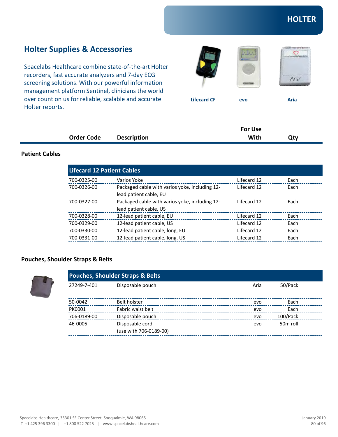### **Holter Supplies & Accessories**

Spacelabs Healthcare combine state-of-the-art Holter recorders, fast accurate analyzers and 7-day ECG screening solutions. With our powerful information management platform Sentinel, clinicians the world over count on us for reliable, scalable and accurate Holter reports.







**Lifecard CF** evo Aria

|                   |                    | <b>For Use</b> |     |
|-------------------|--------------------|----------------|-----|
| <b>Order Code</b> | <b>Description</b> | With           | Qty |

### **Patient Cables**

| <b>Lifecard 12 Patient Cables</b> |                                                |             |      |  |
|-----------------------------------|------------------------------------------------|-------------|------|--|
| 700-0325-00                       | Varios Yoke                                    | Lifecard 12 | Each |  |
| 700-0326-00                       | Packaged cable with varios yoke, including 12- | Lifecard 12 | Each |  |
|                                   | lead patient cable, EU                         |             |      |  |
| 700-0327-00                       | Packaged cable with varios yoke, including 12- | Lifecard 12 | Each |  |
|                                   | lead patient cable, US                         |             |      |  |
| 700-0328-00                       | 12-lead patient cable, EU                      | Lifecard 12 | Each |  |
| 700-0329-00                       | 12-lead patient cable, US                      | Lifecard 12 | Each |  |
| 700-0330-00                       | 12-lead patient cable, long, EU                | Lifecard 12 | Each |  |
| 700-0331-00                       | 12-lead patient cable, long, US                | Lifecard 12 | Each |  |

### **Pouches, Shoulder Straps & Belts**

|             | <b>Pouches, Shoulder Straps &amp; Belts</b> |      |                      |  |
|-------------|---------------------------------------------|------|----------------------|--|
| 27249-7-401 | Disposable pouch                            | Aria | 50/Pack              |  |
| 50-0042     | Belt holster                                | evo  | Each                 |  |
| PK0001      | Fabric waist belt                           | evo  | Each                 |  |
| 706-0189-00 | Disposable pouch                            | evo  | 100/Pack             |  |
| 46-0005     | Disposable cord                             | evo  | 50 <sub>m</sub> roll |  |
|             | (use with 706-0189-00)                      |      |                      |  |